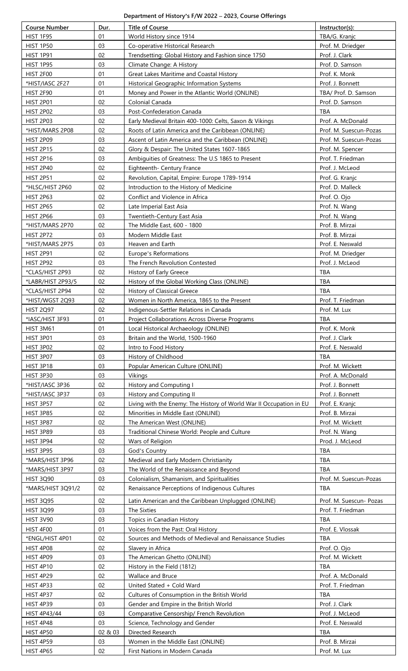## **Department of History's F/W 2022 – 2023, Course Offerings**

| <b>Course Number</b> | Dur.    | <b>Title of Course</b>                                              | Instructor(s):          |
|----------------------|---------|---------------------------------------------------------------------|-------------------------|
| <b>HIST 1F95</b>     | 01      | World History since 1914                                            | TBA/G. Kranjc           |
| <b>HIST 1P50</b>     | 03      | Co-operative Historical Research                                    | Prof. M. Driedger       |
| <b>HIST 1P91</b>     | 02      | Trendsetting: Global History and Fashion since 1750                 | Prof. J. Clark          |
| <b>HIST 1P95</b>     | 03      | Climate Change: A History                                           | Prof. D. Samson         |
| <b>HIST 2F00</b>     | 01      | Great Lakes Maritime and Coastal History                            | Prof. K. Monk           |
| *HIST/IASC 2F27      | 01      | Historical Geographic Information Systems                           | Prof. J. Bonnett        |
| <b>HIST 2F90</b>     | 01      | Money and Power in the Atlantic World (ONLINE)                      | TBA/ Prof. D. Samson    |
| <b>HIST 2P01</b>     | 02      | Colonial Canada                                                     | Prof. D. Samson         |
| <b>HIST 2P02</b>     | 03      | Post-Confederation Canada                                           | <b>TBA</b>              |
| <b>HIST 2P03</b>     | 02      |                                                                     | Prof. A. McDonald       |
|                      | 02      | Early Medieval Britain 400-1000: Celts, Saxon & Vikings             |                         |
| *HIST/MARS 2P08      |         | Roots of Latin America and the Caribbean (ONLINE)                   | Prof. M. Suescun-Pozas  |
| <b>HIST 2P09</b>     | 03      | Ascent of Latin America and the Caribbean (ONLINE)                  | Prof. M. Suescun-Pozas  |
| <b>HIST 2P15</b>     | 02      | Glory & Despair: The United States 1607-1865                        | Prof. M. Spencer        |
| <b>HIST 2P16</b>     | 03      | Ambiguities of Greatness: The U.S 1865 to Present                   | Prof. T. Friedman       |
| <b>HIST 2P40</b>     | 02      | Eighteenth- Century France                                          | Prof. J. McLeod         |
| <b>HIST 2P51</b>     | 02      | Revolution, Capital, Empire: Europe 1789-1914                       | Prof. G. Kranjc         |
| *HLSC/HIST 2P60      | 02      | Introduction to the History of Medicine                             | Prof. D. Malleck        |
| <b>HIST 2P63</b>     | 02      | Conflict and Violence in Africa                                     | Prof. O. Ojo            |
| <b>HIST 2P65</b>     | 02      | Late Imperial East Asia                                             | Prof. N. Wang           |
| <b>HIST 2P66</b>     | 03      | Twentieth-Century East Asia                                         | Prof. N. Wang           |
| *HIST/MARS 2P70      | 02      | The Middle East, 600 - 1800                                         | Prof. B. Mirzai         |
| <b>HIST 2P72</b>     | 03      | Modern Middle East                                                  | Prof. B. Mirzai         |
| *HIST/MARS 2P75      | 03      | Heaven and Earth                                                    | Prof. E. Neswald        |
| <b>HIST 2P91</b>     | 02      | Europe's Reformations                                               | Prof. M. Driedger       |
| <b>HIST 2P92</b>     | 03      | The French Revolution Contested                                     | Prof. J. McLeod         |
| *CLAS/HIST 2P93      | 02      | History of Early Greece                                             | TBA                     |
| *LABR/HIST 2P93/5    | 02      | History of the Global Working Class (ONLINE)                        | TBA                     |
|                      | 02      |                                                                     | TBA                     |
| *CLAS/HIST 2P94      |         | History of Classical Greece                                         |                         |
| *HIST/WGST 2Q93      | 02      | Women in North America, 1865 to the Present                         | Prof. T. Friedman       |
| <b>HIST 2Q97</b>     | 02      | Indigenous-Settler Relations in Canada                              | Prof. M. Lux            |
| *IASC/HIST 3F93      | 01      | <b>Project Collaborations Across Diverse Programs</b>               | <b>TBA</b>              |
| HIST 3M61            | 01      | Local Historical Archaeology (ONLINE)                               | Prof. K. Monk           |
| <b>HIST 3P01</b>     | 03      | Britain and the World, 1500-1960                                    | Prof. J. Clark          |
| <b>HIST 3P02</b>     | 02      | Intro to Food History                                               | Prof. E. Neswald        |
| <b>HIST 3P07</b>     | 03      | History of Childhood                                                | TBA                     |
| <b>HIST 3P18</b>     | 03      | Popular American Culture (ONLINE)                                   | Prof. M. Wickett        |
| <b>HIST 3P30</b>     | 03      | Vikings                                                             | Prof. A. McDonald       |
| *HIST/IASC 3P36      | 02      | History and Computing I                                             | Prof. J. Bonnett        |
| *HIST/IASC 3P37      | 03      | History and Computing II                                            | Prof. J. Bonnett        |
| <b>HIST 3P57</b>     | 02      | Living with the Enemy: The History of World War II Occupation in EU | Prof. E. Kranjc         |
| <b>HIST 3P85</b>     | 02      | Minorities in Middle East (ONLINE)                                  | Prof. B. Mirzai         |
| <b>HIST 3P87</b>     | 02      | The American West (ONLINE)                                          | Prof. M. Wickett        |
| <b>HIST 3P89</b>     | 03      | Traditional Chinese World: People and Culture                       | Prof. N. Wang           |
| <b>HIST 3P94</b>     | 02      | Wars of Religion                                                    | Prod. J. McLeod         |
| <b>HIST 3P95</b>     | 03      | God's Country                                                       | <b>TBA</b>              |
| *MARS/HIST 3P96      | 02      | Medieval and Early Modern Christianity                              | <b>TBA</b>              |
| *MARS/HIST 3P97      | 03      | The World of the Renaissance and Beyond                             | <b>TBA</b>              |
| <b>HIST 3Q90</b>     | 03      | Colonialism, Shamanism, and Spiritualities                          | Prof. M. Suescun-Pozas  |
| *MARS/HIST 3Q91/2    | 02      | Renaissance Perceptions of Indigenous Cultures                      | <b>TBA</b>              |
|                      |         |                                                                     |                         |
| <b>HIST 3Q95</b>     | 02      | Latin American and the Caribbean Unplugged (ONLINE)                 | Prof. M. Suescun- Pozas |
| <b>HIST 3Q99</b>     | 03      | The Sixties                                                         | Prof. T. Friedman       |
| <b>HIST 3V90</b>     | 03      | Topics in Canadian History                                          | <b>TBA</b>              |
| <b>HIST 4F00</b>     | 01      | Voices from the Past: Oral History                                  | Prof. E. Vlossak        |
| *ENGL/HIST 4P01      | 02      | Sources and Methods of Medieval and Renaissance Studies             | TBA                     |
| <b>HIST 4P08</b>     | 02      | Slavery in Africa                                                   | Prof. O. Ojo            |
| <b>HIST 4P09</b>     | 03      | The American Ghetto (ONLINE)                                        | Prof. M. Wickett        |
| <b>HIST 4P10</b>     | 02      | History in the Field (1812)                                         | <b>TBA</b>              |
| <b>HIST 4P29</b>     | 02      | Wallace and Bruce                                                   | Prof. A. McDonald       |
| <b>HIST 4P33</b>     | 02      | United Stated + Cold Ward                                           | Prof. T. Friedman       |
| <b>HIST 4P37</b>     | 02      | Cultures of Consumption in the British World                        | <b>TBA</b>              |
| <b>HIST 4P39</b>     | 03      | Gender and Empire in the British World                              | Prof. J. Clark          |
| HIST 4P43/44         | 03      | Comparative Censorship/ French Revolution                           | Prof. J. McLeod         |
|                      | 03      |                                                                     |                         |
| <b>HIST 4P48</b>     |         | Science, Technology and Gender                                      | Prof. E. Neswald        |
| <b>HIST 4P50</b>     | 02 & 03 | Directed Research                                                   | TBA                     |
| <b>HIST 4P59</b>     | 03      | Women in the Middle East (ONLINE)                                   | Prof. B. Mirzai         |
| <b>HIST 4P65</b>     | 02      | First Nations in Modern Canada                                      | Prof. M. Lux            |